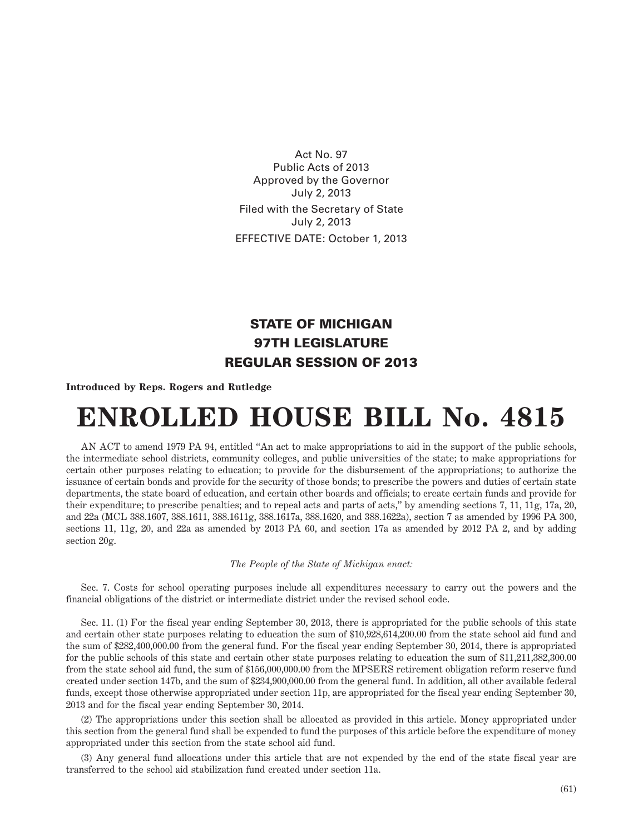Act No. 97 Public Acts of 2013 Approved by the Governor July 2, 2013 Filed with the Secretary of State July 2, 2013 EFFECTIVE DATE: October 1, 2013

## STATE OF MICHIGAN 97TH LEGISLATURE REGULAR SESSION OF 2013

## **Introduced by Reps. Rogers and Rutledge**

## **ENROLLED HOUSE BILL No. 4815**

AN ACT to amend 1979 PA 94, entitled "An act to make appropriations to aid in the support of the public schools, the intermediate school districts, community colleges, and public universities of the state; to make appropriations for certain other purposes relating to education; to provide for the disbursement of the appropriations; to authorize the issuance of certain bonds and provide for the security of those bonds; to prescribe the powers and duties of certain state departments, the state board of education, and certain other boards and officials; to create certain funds and provide for their expenditure; to prescribe penalties; and to repeal acts and parts of acts," by amending sections 7, 11, 11g, 17a, 20, and 22a (MCL 388.1607, 388.1611, 388.1611g, 388.1617a, 388.1620, and 388.1622a), section 7 as amended by 1996 PA 300, sections 11, 11g, 20, and 22a as amended by 2013 PA 60, and section 17a as amended by 2012 PA 2, and by adding section 20g.

## *The People of the State of Michigan enact:*

Sec. 7. Costs for school operating purposes include all expenditures necessary to carry out the powers and the financial obligations of the district or intermediate district under the revised school code.

Sec. 11. (1) For the fiscal year ending September 30, 2013, there is appropriated for the public schools of this state and certain other state purposes relating to education the sum of \$10,928,614,200.00 from the state school aid fund and the sum of \$282,400,000.00 from the general fund. For the fiscal year ending September 30, 2014, there is appropriated for the public schools of this state and certain other state purposes relating to education the sum of \$11,211,382,300.00 from the state school aid fund, the sum of \$156,000,000.00 from the MPSERS retirement obligation reform reserve fund created under section 147b, and the sum of \$234,900,000.00 from the general fund. In addition, all other available federal funds, except those otherwise appropriated under section 11p, are appropriated for the fiscal year ending September 30, 2013 and for the fiscal year ending September 30, 2014.

(2) The appropriations under this section shall be allocated as provided in this article. Money appropriated under this section from the general fund shall be expended to fund the purposes of this article before the expenditure of money appropriated under this section from the state school aid fund.

(3) Any general fund allocations under this article that are not expended by the end of the state fiscal year are transferred to the school aid stabilization fund created under section 11a.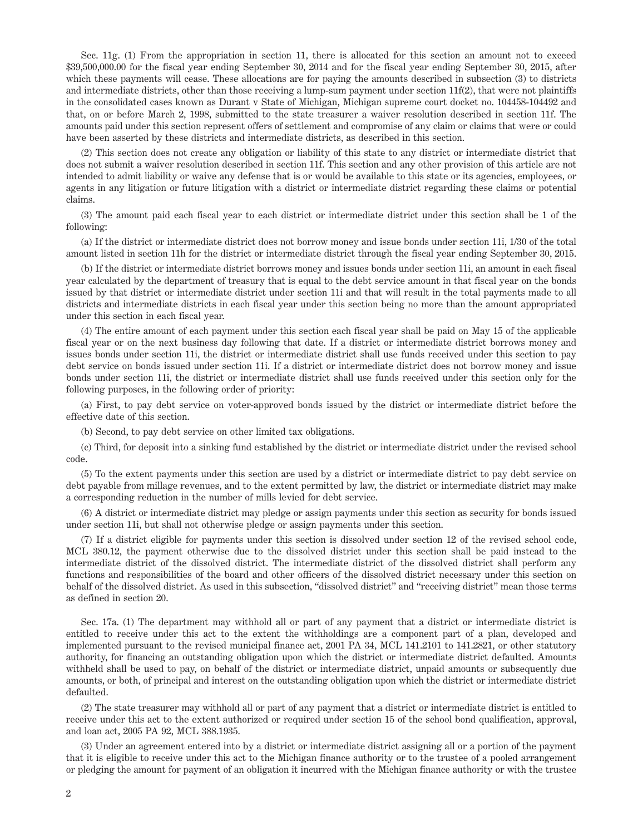Sec. 11g. (1) From the appropriation in section 11, there is allocated for this section an amount not to exceed \$39,500,000.00 for the fiscal year ending September 30, 2014 and for the fiscal year ending September 30, 2015, after which these payments will cease. These allocations are for paying the amounts described in subsection (3) to districts and intermediate districts, other than those receiving a lump-sum payment under section 11f(2), that were not plaintiffs in the consolidated cases known as Durant v State of Michigan, Michigan supreme court docket no. 104458-104492 and that, on or before March 2, 1998, submitted to the state treasurer a waiver resolution described in section 11f. The amounts paid under this section represent offers of settlement and compromise of any claim or claims that were or could have been asserted by these districts and intermediate districts, as described in this section.

(2) This section does not create any obligation or liability of this state to any district or intermediate district that does not submit a waiver resolution described in section 11f. This section and any other provision of this article are not intended to admit liability or waive any defense that is or would be available to this state or its agencies, employees, or agents in any litigation or future litigation with a district or intermediate district regarding these claims or potential claims.

(3) The amount paid each fiscal year to each district or intermediate district under this section shall be 1 of the following:

(a) If the district or intermediate district does not borrow money and issue bonds under section 11i, 1/30 of the total amount listed in section 11h for the district or intermediate district through the fiscal year ending September 30, 2015.

(b) If the district or intermediate district borrows money and issues bonds under section 11i, an amount in each fiscal year calculated by the department of treasury that is equal to the debt service amount in that fiscal year on the bonds issued by that district or intermediate district under section 11i and that will result in the total payments made to all districts and intermediate districts in each fiscal year under this section being no more than the amount appropriated under this section in each fiscal year.

(4) The entire amount of each payment under this section each fiscal year shall be paid on May 15 of the applicable fiscal year or on the next business day following that date. If a district or intermediate district borrows money and issues bonds under section 11i, the district or intermediate district shall use funds received under this section to pay debt service on bonds issued under section 11i. If a district or intermediate district does not borrow money and issue bonds under section 11i, the district or intermediate district shall use funds received under this section only for the following purposes, in the following order of priority:

(a) First, to pay debt service on voter-approved bonds issued by the district or intermediate district before the effective date of this section.

(b) Second, to pay debt service on other limited tax obligations.

(c) Third, for deposit into a sinking fund established by the district or intermediate district under the revised school code.

(5) To the extent payments under this section are used by a district or intermediate district to pay debt service on debt payable from millage revenues, and to the extent permitted by law, the district or intermediate district may make a corresponding reduction in the number of mills levied for debt service.

(6) A district or intermediate district may pledge or assign payments under this section as security for bonds issued under section 11i, but shall not otherwise pledge or assign payments under this section.

(7) If a district eligible for payments under this section is dissolved under section 12 of the revised school code, MCL 380.12, the payment otherwise due to the dissolved district under this section shall be paid instead to the intermediate district of the dissolved district. The intermediate district of the dissolved district shall perform any functions and responsibilities of the board and other officers of the dissolved district necessary under this section on behalf of the dissolved district. As used in this subsection, "dissolved district" and "receiving district" mean those terms as defined in section 20.

Sec. 17a. (1) The department may withhold all or part of any payment that a district or intermediate district is entitled to receive under this act to the extent the withholdings are a component part of a plan, developed and implemented pursuant to the revised municipal finance act, 2001 PA 34, MCL 141.2101 to 141.2821, or other statutory authority, for financing an outstanding obligation upon which the district or intermediate district defaulted. Amounts withheld shall be used to pay, on behalf of the district or intermediate district, unpaid amounts or subsequently due amounts, or both, of principal and interest on the outstanding obligation upon which the district or intermediate district defaulted.

(2) The state treasurer may withhold all or part of any payment that a district or intermediate district is entitled to receive under this act to the extent authorized or required under section 15 of the school bond qualification, approval, and loan act, 2005 PA 92, MCL 388.1935.

(3) Under an agreement entered into by a district or intermediate district assigning all or a portion of the payment that it is eligible to receive under this act to the Michigan finance authority or to the trustee of a pooled arrangement or pledging the amount for payment of an obligation it incurred with the Michigan finance authority or with the trustee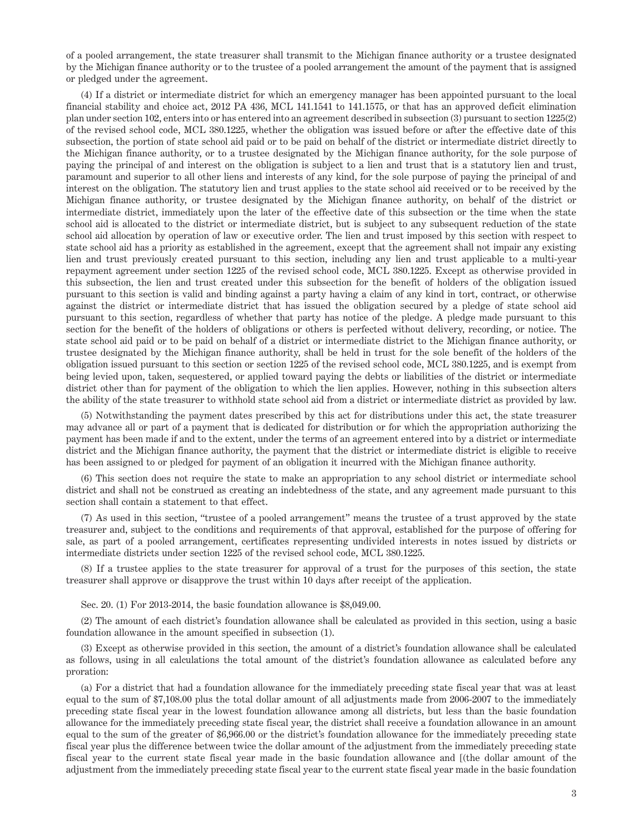of a pooled arrangement, the state treasurer shall transmit to the Michigan finance authority or a trustee designated by the Michigan finance authority or to the trustee of a pooled arrangement the amount of the payment that is assigned or pledged under the agreement.

(4) If a district or intermediate district for which an emergency manager has been appointed pursuant to the local financial stability and choice act, 2012 PA 436, MCL 141.1541 to 141.1575, or that has an approved deficit elimination plan under section 102, enters into or has entered into an agreement described in subsection (3) pursuant to section 1225(2) of the revised school code, MCL 380.1225, whether the obligation was issued before or after the effective date of this subsection, the portion of state school aid paid or to be paid on behalf of the district or intermediate district directly to the Michigan finance authority, or to a trustee designated by the Michigan finance authority, for the sole purpose of paying the principal of and interest on the obligation is subject to a lien and trust that is a statutory lien and trust, paramount and superior to all other liens and interests of any kind, for the sole purpose of paying the principal of and interest on the obligation. The statutory lien and trust applies to the state school aid received or to be received by the Michigan finance authority, or trustee designated by the Michigan finance authority, on behalf of the district or intermediate district, immediately upon the later of the effective date of this subsection or the time when the state school aid is allocated to the district or intermediate district, but is subject to any subsequent reduction of the state school aid allocation by operation of law or executive order. The lien and trust imposed by this section with respect to state school aid has a priority as established in the agreement, except that the agreement shall not impair any existing lien and trust previously created pursuant to this section, including any lien and trust applicable to a multi-year repayment agreement under section 1225 of the revised school code, MCL 380.1225. Except as otherwise provided in this subsection, the lien and trust created under this subsection for the benefit of holders of the obligation issued pursuant to this section is valid and binding against a party having a claim of any kind in tort, contract, or otherwise against the district or intermediate district that has issued the obligation secured by a pledge of state school aid pursuant to this section, regardless of whether that party has notice of the pledge. A pledge made pursuant to this section for the benefit of the holders of obligations or others is perfected without delivery, recording, or notice. The state school aid paid or to be paid on behalf of a district or intermediate district to the Michigan finance authority, or trustee designated by the Michigan finance authority, shall be held in trust for the sole benefit of the holders of the obligation issued pursuant to this section or section 1225 of the revised school code, MCL 380.1225, and is exempt from being levied upon, taken, sequestered, or applied toward paying the debts or liabilities of the district or intermediate district other than for payment of the obligation to which the lien applies. However, nothing in this subsection alters the ability of the state treasurer to withhold state school aid from a district or intermediate district as provided by law.

(5) Notwithstanding the payment dates prescribed by this act for distributions under this act, the state treasurer may advance all or part of a payment that is dedicated for distribution or for which the appropriation authorizing the payment has been made if and to the extent, under the terms of an agreement entered into by a district or intermediate district and the Michigan finance authority, the payment that the district or intermediate district is eligible to receive has been assigned to or pledged for payment of an obligation it incurred with the Michigan finance authority.

(6) This section does not require the state to make an appropriation to any school district or intermediate school district and shall not be construed as creating an indebtedness of the state, and any agreement made pursuant to this section shall contain a statement to that effect.

(7) As used in this section, "trustee of a pooled arrangement" means the trustee of a trust approved by the state treasurer and, subject to the conditions and requirements of that approval, established for the purpose of offering for sale, as part of a pooled arrangement, certificates representing undivided interests in notes issued by districts or intermediate districts under section 1225 of the revised school code, MCL 380.1225.

(8) If a trustee applies to the state treasurer for approval of a trust for the purposes of this section, the state treasurer shall approve or disapprove the trust within 10 days after receipt of the application.

Sec. 20. (1) For 2013-2014, the basic foundation allowance is \$8,049.00.

(2) The amount of each district's foundation allowance shall be calculated as provided in this section, using a basic foundation allowance in the amount specified in subsection (1).

(3) Except as otherwise provided in this section, the amount of a district's foundation allowance shall be calculated as follows, using in all calculations the total amount of the district's foundation allowance as calculated before any proration:

(a) For a district that had a foundation allowance for the immediately preceding state fiscal year that was at least equal to the sum of \$7,108.00 plus the total dollar amount of all adjustments made from 2006-2007 to the immediately preceding state fiscal year in the lowest foundation allowance among all districts, but less than the basic foundation allowance for the immediately preceding state fiscal year, the district shall receive a foundation allowance in an amount equal to the sum of the greater of \$6,966.00 or the district's foundation allowance for the immediately preceding state fiscal year plus the difference between twice the dollar amount of the adjustment from the immediately preceding state fiscal year to the current state fiscal year made in the basic foundation allowance and [(the dollar amount of the adjustment from the immediately preceding state fiscal year to the current state fiscal year made in the basic foundation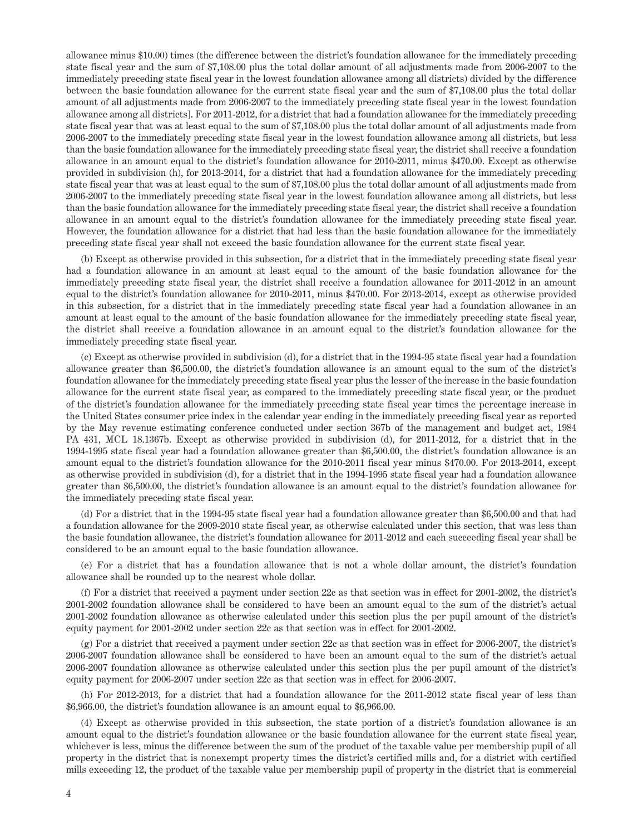allowance minus \$10.00) times (the difference between the district's foundation allowance for the immediately preceding state fiscal year and the sum of \$7,108.00 plus the total dollar amount of all adjustments made from 2006-2007 to the immediately preceding state fiscal year in the lowest foundation allowance among all districts) divided by the difference between the basic foundation allowance for the current state fiscal year and the sum of \$7,108.00 plus the total dollar amount of all adjustments made from 2006-2007 to the immediately preceding state fiscal year in the lowest foundation allowance among all districts]. For 2011-2012, for a district that had a foundation allowance for the immediately preceding state fiscal year that was at least equal to the sum of \$7,108.00 plus the total dollar amount of all adjustments made from 2006-2007 to the immediately preceding state fiscal year in the lowest foundation allowance among all districts, but less than the basic foundation allowance for the immediately preceding state fiscal year, the district shall receive a foundation allowance in an amount equal to the district's foundation allowance for 2010-2011, minus \$470.00. Except as otherwise provided in subdivision (h), for 2013-2014, for a district that had a foundation allowance for the immediately preceding state fiscal year that was at least equal to the sum of \$7,108.00 plus the total dollar amount of all adjustments made from 2006-2007 to the immediately preceding state fiscal year in the lowest foundation allowance among all districts, but less than the basic foundation allowance for the immediately preceding state fiscal year, the district shall receive a foundation allowance in an amount equal to the district's foundation allowance for the immediately preceding state fiscal year. However, the foundation allowance for a district that had less than the basic foundation allowance for the immediately preceding state fiscal year shall not exceed the basic foundation allowance for the current state fiscal year.

(b) Except as otherwise provided in this subsection, for a district that in the immediately preceding state fiscal year had a foundation allowance in an amount at least equal to the amount of the basic foundation allowance for the immediately preceding state fiscal year, the district shall receive a foundation allowance for 2011-2012 in an amount equal to the district's foundation allowance for 2010-2011, minus \$470.00. For 2013-2014, except as otherwise provided in this subsection, for a district that in the immediately preceding state fiscal year had a foundation allowance in an amount at least equal to the amount of the basic foundation allowance for the immediately preceding state fiscal year, the district shall receive a foundation allowance in an amount equal to the district's foundation allowance for the immediately preceding state fiscal year.

(c) Except as otherwise provided in subdivision (d), for a district that in the 1994-95 state fiscal year had a foundation allowance greater than \$6,500.00, the district's foundation allowance is an amount equal to the sum of the district's foundation allowance for the immediately preceding state fiscal year plus the lesser of the increase in the basic foundation allowance for the current state fiscal year, as compared to the immediately preceding state fiscal year, or the product of the district's foundation allowance for the immediately preceding state fiscal year times the percentage increase in the United States consumer price index in the calendar year ending in the immediately preceding fiscal year as reported by the May revenue estimating conference conducted under section 367b of the management and budget act, 1984 PA 431, MCL 18.1367b. Except as otherwise provided in subdivision (d), for 2011-2012, for a district that in the 1994-1995 state fiscal year had a foundation allowance greater than \$6,500.00, the district's foundation allowance is an amount equal to the district's foundation allowance for the 2010-2011 fiscal year minus \$470.00. For 2013-2014, except as otherwise provided in subdivision (d), for a district that in the 1994-1995 state fiscal year had a foundation allowance greater than \$6,500.00, the district's foundation allowance is an amount equal to the district's foundation allowance for the immediately preceding state fiscal year.

(d) For a district that in the 1994-95 state fiscal year had a foundation allowance greater than \$6,500.00 and that had a foundation allowance for the 2009-2010 state fiscal year, as otherwise calculated under this section, that was less than the basic foundation allowance, the district's foundation allowance for 2011-2012 and each succeeding fiscal year shall be considered to be an amount equal to the basic foundation allowance.

(e) For a district that has a foundation allowance that is not a whole dollar amount, the district's foundation allowance shall be rounded up to the nearest whole dollar.

(f) For a district that received a payment under section 22c as that section was in effect for 2001-2002, the district's 2001-2002 foundation allowance shall be considered to have been an amount equal to the sum of the district's actual 2001-2002 foundation allowance as otherwise calculated under this section plus the per pupil amount of the district's equity payment for 2001-2002 under section 22c as that section was in effect for 2001-2002.

(g) For a district that received a payment under section 22c as that section was in effect for 2006-2007, the district's 2006-2007 foundation allowance shall be considered to have been an amount equal to the sum of the district's actual 2006-2007 foundation allowance as otherwise calculated under this section plus the per pupil amount of the district's equity payment for 2006-2007 under section 22c as that section was in effect for 2006-2007.

(h) For 2012-2013, for a district that had a foundation allowance for the 2011-2012 state fiscal year of less than \$6,966.00, the district's foundation allowance is an amount equal to \$6,966.00.

(4) Except as otherwise provided in this subsection, the state portion of a district's foundation allowance is an amount equal to the district's foundation allowance or the basic foundation allowance for the current state fiscal year, whichever is less, minus the difference between the sum of the product of the taxable value per membership pupil of all property in the district that is nonexempt property times the district's certified mills and, for a district with certified mills exceeding 12, the product of the taxable value per membership pupil of property in the district that is commercial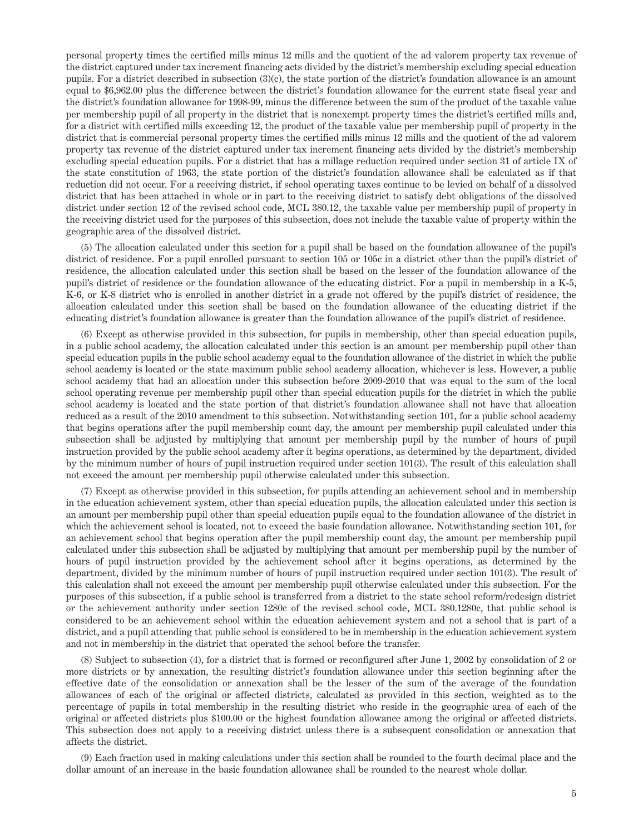personal property times the certified mills minus 12 mills and the quotient of the ad valorem property tax revenue of the district captured under tax increment financing acts divided by the district's membership excluding special education pupils. For a district described in subsection (3)(c), the state portion of the district's foundation allowance is an amount equal to \$6,962.00 plus the difference between the district's foundation allowance for the current state fiscal year and the district's foundation allowance for 1998-99, minus the difference between the sum of the product of the taxable value per membership pupil of all property in the district that is nonexempt property times the district's certified mills and, for a district with certified mills exceeding 12, the product of the taxable value per membership pupil of property in the district that is commercial personal property times the certified mills minus 12 mills and the quotient of the ad valorem property tax revenue of the district captured under tax increment financing acts divided by the district's membership excluding special education pupils. For a district that has a millage reduction required under section 31 of article IX of the state constitution of 1963, the state portion of the district's foundation allowance shall be calculated as if that reduction did not occur. For a receiving district, if school operating taxes continue to be levied on behalf of a dissolved district that has been attached in whole or in part to the receiving district to satisfy debt obligations of the dissolved district under section 12 of the revised school code, MCL 380.12, the taxable value per membership pupil of property in the receiving district used for the purposes of this subsection, does not include the taxable value of property within the geographic area of the dissolved district.

(5) The allocation calculated under this section for a pupil shall be based on the foundation allowance of the pupil's district of residence. For a pupil enrolled pursuant to section 105 or 105c in a district other than the pupil's district of residence, the allocation calculated under this section shall be based on the lesser of the foundation allowance of the pupil's district of residence or the foundation allowance of the educating district. For a pupil in membership in a K-5, K-6, or K-8 district who is enrolled in another district in a grade not offered by the pupil's district of residence, the allocation calculated under this section shall be based on the foundation allowance of the educating district if the educating district's foundation allowance is greater than the foundation allowance of the pupil's district of residence.

(6) Except as otherwise provided in this subsection, for pupils in membership, other than special education pupils, in a public school academy, the allocation calculated under this section is an amount per membership pupil other than special education pupils in the public school academy equal to the foundation allowance of the district in which the public school academy is located or the state maximum public school academy allocation, whichever is less. However, a public school academy that had an allocation under this subsection before 2009-2010 that was equal to the sum of the local school operating revenue per membership pupil other than special education pupils for the district in which the public school academy is located and the state portion of that district's foundation allowance shall not have that allocation reduced as a result of the 2010 amendment to this subsection. Notwithstanding section 101, for a public school academy that begins operations after the pupil membership count day, the amount per membership pupil calculated under this subsection shall be adjusted by multiplying that amount per membership pupil by the number of hours of pupil instruction provided by the public school academy after it begins operations, as determined by the department, divided by the minimum number of hours of pupil instruction required under section 101(3). The result of this calculation shall not exceed the amount per membership pupil otherwise calculated under this subsection.

(7) Except as otherwise provided in this subsection, for pupils attending an achievement school and in membership in the education achievement system, other than special education pupils, the allocation calculated under this section is an amount per membership pupil other than special education pupils equal to the foundation allowance of the district in which the achievement school is located, not to exceed the basic foundation allowance. Notwithstanding section 101, for an achievement school that begins operation after the pupil membership count day, the amount per membership pupil calculated under this subsection shall be adjusted by multiplying that amount per membership pupil by the number of hours of pupil instruction provided by the achievement school after it begins operations, as determined by the department, divided by the minimum number of hours of pupil instruction required under section 101(3). The result of this calculation shall not exceed the amount per membership pupil otherwise calculated under this subsection. For the purposes of this subsection, if a public school is transferred from a district to the state school reform/redesign district or the achievement authority under section 1280c of the revised school code, MCL 380.1280c, that public school is considered to be an achievement school within the education achievement system and not a school that is part of a district, and a pupil attending that public school is considered to be in membership in the education achievement system and not in membership in the district that operated the school before the transfer.

(8) Subject to subsection (4), for a district that is formed or reconfigured after June 1, 2002 by consolidation of 2 or more districts or by annexation, the resulting district's foundation allowance under this section beginning after the effective date of the consolidation or annexation shall be the lesser of the sum of the average of the foundation allowances of each of the original or affected districts, calculated as provided in this section, weighted as to the percentage of pupils in total membership in the resulting district who reside in the geographic area of each of the original or affected districts plus \$100.00 or the highest foundation allowance among the original or affected districts. This subsection does not apply to a receiving district unless there is a subsequent consolidation or annexation that affects the district.

(9) Each fraction used in making calculations under this section shall be rounded to the fourth decimal place and the dollar amount of an increase in the basic foundation allowance shall be rounded to the nearest whole dollar.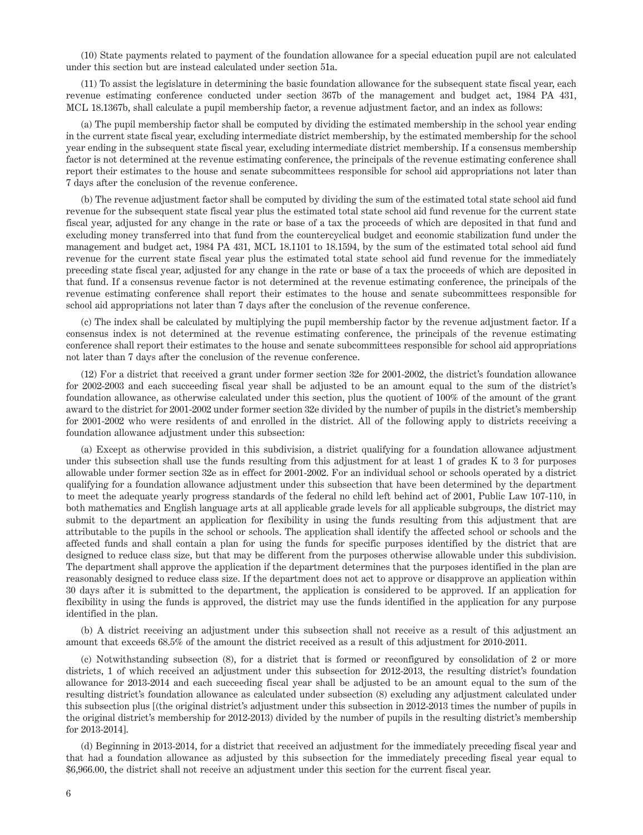(10) State payments related to payment of the foundation allowance for a special education pupil are not calculated under this section but are instead calculated under section 51a.

(11) To assist the legislature in determining the basic foundation allowance for the subsequent state fiscal year, each revenue estimating conference conducted under section 367b of the management and budget act, 1984 PA 431, MCL 18.1367b, shall calculate a pupil membership factor, a revenue adjustment factor, and an index as follows:

(a) The pupil membership factor shall be computed by dividing the estimated membership in the school year ending in the current state fiscal year, excluding intermediate district membership, by the estimated membership for the school year ending in the subsequent state fiscal year, excluding intermediate district membership. If a consensus membership factor is not determined at the revenue estimating conference, the principals of the revenue estimating conference shall report their estimates to the house and senate subcommittees responsible for school aid appropriations not later than 7 days after the conclusion of the revenue conference.

(b) The revenue adjustment factor shall be computed by dividing the sum of the estimated total state school aid fund revenue for the subsequent state fiscal year plus the estimated total state school aid fund revenue for the current state fiscal year, adjusted for any change in the rate or base of a tax the proceeds of which are deposited in that fund and excluding money transferred into that fund from the countercyclical budget and economic stabilization fund under the management and budget act, 1984 PA 431, MCL 18.1101 to 18.1594, by the sum of the estimated total school aid fund revenue for the current state fiscal year plus the estimated total state school aid fund revenue for the immediately preceding state fiscal year, adjusted for any change in the rate or base of a tax the proceeds of which are deposited in that fund. If a consensus revenue factor is not determined at the revenue estimating conference, the principals of the revenue estimating conference shall report their estimates to the house and senate subcommittees responsible for school aid appropriations not later than 7 days after the conclusion of the revenue conference.

(c) The index shall be calculated by multiplying the pupil membership factor by the revenue adjustment factor. If a consensus index is not determined at the revenue estimating conference, the principals of the revenue estimating conference shall report their estimates to the house and senate subcommittees responsible for school aid appropriations not later than 7 days after the conclusion of the revenue conference.

(12) For a district that received a grant under former section 32e for 2001-2002, the district's foundation allowance for 2002-2003 and each succeeding fiscal year shall be adjusted to be an amount equal to the sum of the district's foundation allowance, as otherwise calculated under this section, plus the quotient of 100% of the amount of the grant award to the district for 2001-2002 under former section 32e divided by the number of pupils in the district's membership for 2001-2002 who were residents of and enrolled in the district. All of the following apply to districts receiving a foundation allowance adjustment under this subsection:

(a) Except as otherwise provided in this subdivision, a district qualifying for a foundation allowance adjustment under this subsection shall use the funds resulting from this adjustment for at least 1 of grades K to 3 for purposes allowable under former section 32e as in effect for 2001-2002. For an individual school or schools operated by a district qualifying for a foundation allowance adjustment under this subsection that have been determined by the department to meet the adequate yearly progress standards of the federal no child left behind act of 2001, Public Law 107-110, in both mathematics and English language arts at all applicable grade levels for all applicable subgroups, the district may submit to the department an application for flexibility in using the funds resulting from this adjustment that are attributable to the pupils in the school or schools. The application shall identify the affected school or schools and the affected funds and shall contain a plan for using the funds for specific purposes identified by the district that are designed to reduce class size, but that may be different from the purposes otherwise allowable under this subdivision. The department shall approve the application if the department determines that the purposes identified in the plan are reasonably designed to reduce class size. If the department does not act to approve or disapprove an application within 30 days after it is submitted to the department, the application is considered to be approved. If an application for flexibility in using the funds is approved, the district may use the funds identified in the application for any purpose identified in the plan.

(b) A district receiving an adjustment under this subsection shall not receive as a result of this adjustment an amount that exceeds 68.5% of the amount the district received as a result of this adjustment for 2010-2011.

(c) Notwithstanding subsection (8), for a district that is formed or reconfigured by consolidation of 2 or more districts, 1 of which received an adjustment under this subsection for 2012-2013, the resulting district's foundation allowance for 2013-2014 and each succeeding fiscal year shall be adjusted to be an amount equal to the sum of the resulting district's foundation allowance as calculated under subsection (8) excluding any adjustment calculated under this subsection plus [(the original district's adjustment under this subsection in 2012-2013 times the number of pupils in the original district's membership for 2012-2013) divided by the number of pupils in the resulting district's membership for 2013-2014].

(d) Beginning in 2013-2014, for a district that received an adjustment for the immediately preceding fiscal year and that had a foundation allowance as adjusted by this subsection for the immediately preceding fiscal year equal to \$6,966.00, the district shall not receive an adjustment under this section for the current fiscal year.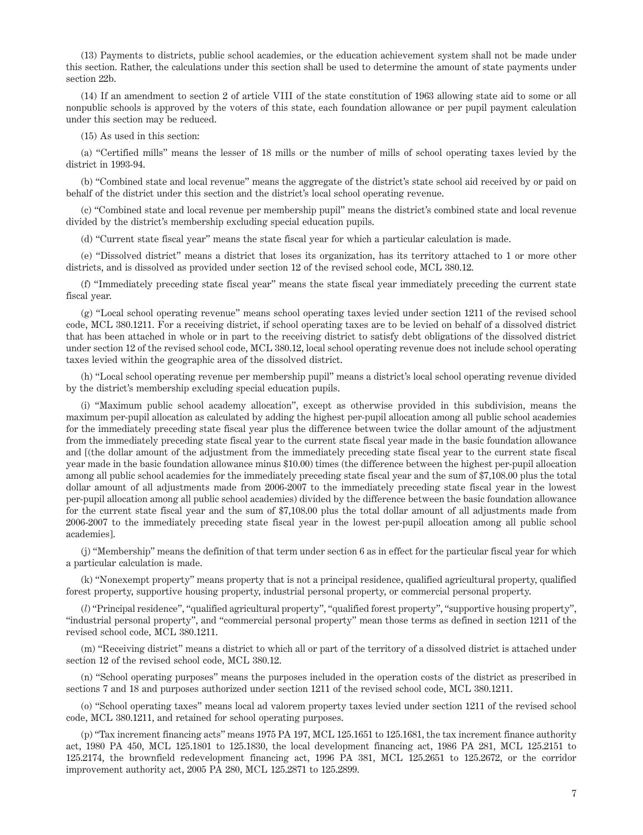(13) Payments to districts, public school academies, or the education achievement system shall not be made under this section. Rather, the calculations under this section shall be used to determine the amount of state payments under section 22b.

(14) If an amendment to section 2 of article VIII of the state constitution of 1963 allowing state aid to some or all nonpublic schools is approved by the voters of this state, each foundation allowance or per pupil payment calculation under this section may be reduced.

(15) As used in this section:

(a) "Certified mills" means the lesser of 18 mills or the number of mills of school operating taxes levied by the district in 1993-94.

(b) "Combined state and local revenue" means the aggregate of the district's state school aid received by or paid on behalf of the district under this section and the district's local school operating revenue.

(c) "Combined state and local revenue per membership pupil" means the district's combined state and local revenue divided by the district's membership excluding special education pupils.

(d) "Current state fiscal year" means the state fiscal year for which a particular calculation is made.

(e) "Dissolved district" means a district that loses its organization, has its territory attached to 1 or more other districts, and is dissolved as provided under section 12 of the revised school code, MCL 380.12.

(f) "Immediately preceding state fiscal year" means the state fiscal year immediately preceding the current state fiscal year.

(g) "Local school operating revenue" means school operating taxes levied under section 1211 of the revised school code, MCL 380.1211. For a receiving district, if school operating taxes are to be levied on behalf of a dissolved district that has been attached in whole or in part to the receiving district to satisfy debt obligations of the dissolved district under section 12 of the revised school code, MCL 380.12, local school operating revenue does not include school operating taxes levied within the geographic area of the dissolved district.

(h) "Local school operating revenue per membership pupil" means a district's local school operating revenue divided by the district's membership excluding special education pupils.

(i) "Maximum public school academy allocation", except as otherwise provided in this subdivision, means the maximum per-pupil allocation as calculated by adding the highest per-pupil allocation among all public school academies for the immediately preceding state fiscal year plus the difference between twice the dollar amount of the adjustment from the immediately preceding state fiscal year to the current state fiscal year made in the basic foundation allowance and [(the dollar amount of the adjustment from the immediately preceding state fiscal year to the current state fiscal year made in the basic foundation allowance minus \$10.00) times (the difference between the highest per-pupil allocation among all public school academies for the immediately preceding state fiscal year and the sum of \$7,108.00 plus the total dollar amount of all adjustments made from 2006-2007 to the immediately preceding state fiscal year in the lowest per-pupil allocation among all public school academies) divided by the difference between the basic foundation allowance for the current state fiscal year and the sum of \$7,108.00 plus the total dollar amount of all adjustments made from 2006-2007 to the immediately preceding state fiscal year in the lowest per-pupil allocation among all public school academies].

(j) "Membership" means the definition of that term under section 6 as in effect for the particular fiscal year for which a particular calculation is made.

(k) "Nonexempt property" means property that is not a principal residence, qualified agricultural property, qualified forest property, supportive housing property, industrial personal property, or commercial personal property.

(*l*) "Principal residence", "qualified agricultural property", "qualified forest property", "supportive housing property", "industrial personal property", and "commercial personal property" mean those terms as defined in section 1211 of the revised school code, MCL 380.1211.

(m) "Receiving district" means a district to which all or part of the territory of a dissolved district is attached under section 12 of the revised school code, MCL 380.12.

(n) "School operating purposes" means the purposes included in the operation costs of the district as prescribed in sections 7 and 18 and purposes authorized under section 1211 of the revised school code, MCL 380.1211.

(o) "School operating taxes" means local ad valorem property taxes levied under section 1211 of the revised school code, MCL 380.1211, and retained for school operating purposes.

(p) "Tax increment financing acts" means 1975 PA 197, MCL 125.1651 to 125.1681, the tax increment finance authority act, 1980 PA 450, MCL 125.1801 to 125.1830, the local development financing act, 1986 PA 281, MCL 125.2151 to 125.2174, the brownfield redevelopment financing act, 1996 PA 381, MCL 125.2651 to 125.2672, or the corridor improvement authority act, 2005 PA 280, MCL 125.2871 to 125.2899.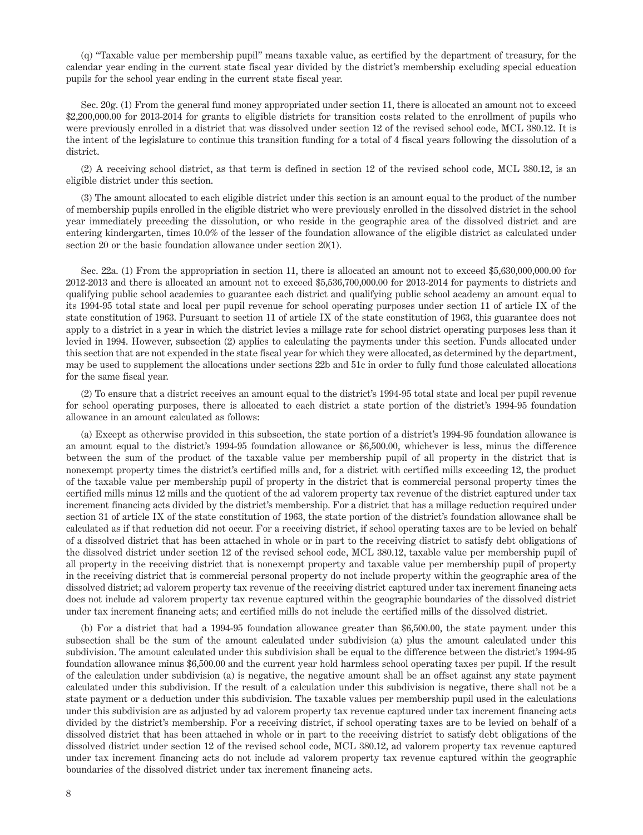(q) "Taxable value per membership pupil" means taxable value, as certified by the department of treasury, for the calendar year ending in the current state fiscal year divided by the district's membership excluding special education pupils for the school year ending in the current state fiscal year.

Sec. 20g. (1) From the general fund money appropriated under section 11, there is allocated an amount not to exceed \$2,200,000.00 for 2013-2014 for grants to eligible districts for transition costs related to the enrollment of pupils who were previously enrolled in a district that was dissolved under section 12 of the revised school code, MCL 380.12. It is the intent of the legislature to continue this transition funding for a total of 4 fiscal years following the dissolution of a district.

(2) A receiving school district, as that term is defined in section 12 of the revised school code, MCL 380.12, is an eligible district under this section.

(3) The amount allocated to each eligible district under this section is an amount equal to the product of the number of membership pupils enrolled in the eligible district who were previously enrolled in the dissolved district in the school year immediately preceding the dissolution, or who reside in the geographic area of the dissolved district and are entering kindergarten, times 10.0% of the lesser of the foundation allowance of the eligible district as calculated under section 20 or the basic foundation allowance under section 20(1).

Sec. 22a. (1) From the appropriation in section 11, there is allocated an amount not to exceed \$5,630,000,000.00 for 2012-2013 and there is allocated an amount not to exceed \$5,536,700,000.00 for 2013-2014 for payments to districts and qualifying public school academies to guarantee each district and qualifying public school academy an amount equal to its 1994-95 total state and local per pupil revenue for school operating purposes under section 11 of article IX of the state constitution of 1963. Pursuant to section 11 of article IX of the state constitution of 1963, this guarantee does not apply to a district in a year in which the district levies a millage rate for school district operating purposes less than it levied in 1994. However, subsection (2) applies to calculating the payments under this section. Funds allocated under this section that are not expended in the state fiscal year for which they were allocated, as determined by the department, may be used to supplement the allocations under sections 22b and 51c in order to fully fund those calculated allocations for the same fiscal year.

(2) To ensure that a district receives an amount equal to the district's 1994-95 total state and local per pupil revenue for school operating purposes, there is allocated to each district a state portion of the district's 1994-95 foundation allowance in an amount calculated as follows:

(a) Except as otherwise provided in this subsection, the state portion of a district's 1994-95 foundation allowance is an amount equal to the district's 1994-95 foundation allowance or \$6,500.00, whichever is less, minus the difference between the sum of the product of the taxable value per membership pupil of all property in the district that is nonexempt property times the district's certified mills and, for a district with certified mills exceeding 12, the product of the taxable value per membership pupil of property in the district that is commercial personal property times the certified mills minus 12 mills and the quotient of the ad valorem property tax revenue of the district captured under tax increment financing acts divided by the district's membership. For a district that has a millage reduction required under section 31 of article IX of the state constitution of 1963, the state portion of the district's foundation allowance shall be calculated as if that reduction did not occur. For a receiving district, if school operating taxes are to be levied on behalf of a dissolved district that has been attached in whole or in part to the receiving district to satisfy debt obligations of the dissolved district under section 12 of the revised school code, MCL 380.12, taxable value per membership pupil of all property in the receiving district that is nonexempt property and taxable value per membership pupil of property in the receiving district that is commercial personal property do not include property within the geographic area of the dissolved district; ad valorem property tax revenue of the receiving district captured under tax increment financing acts does not include ad valorem property tax revenue captured within the geographic boundaries of the dissolved district under tax increment financing acts; and certified mills do not include the certified mills of the dissolved district.

(b) For a district that had a 1994-95 foundation allowance greater than \$6,500.00, the state payment under this subsection shall be the sum of the amount calculated under subdivision (a) plus the amount calculated under this subdivision. The amount calculated under this subdivision shall be equal to the difference between the district's 1994-95 foundation allowance minus \$6,500.00 and the current year hold harmless school operating taxes per pupil. If the result of the calculation under subdivision (a) is negative, the negative amount shall be an offset against any state payment calculated under this subdivision. If the result of a calculation under this subdivision is negative, there shall not be a state payment or a deduction under this subdivision. The taxable values per membership pupil used in the calculations under this subdivision are as adjusted by ad valorem property tax revenue captured under tax increment financing acts divided by the district's membership. For a receiving district, if school operating taxes are to be levied on behalf of a dissolved district that has been attached in whole or in part to the receiving district to satisfy debt obligations of the dissolved district under section 12 of the revised school code, MCL 380.12, ad valorem property tax revenue captured under tax increment financing acts do not include ad valorem property tax revenue captured within the geographic boundaries of the dissolved district under tax increment financing acts.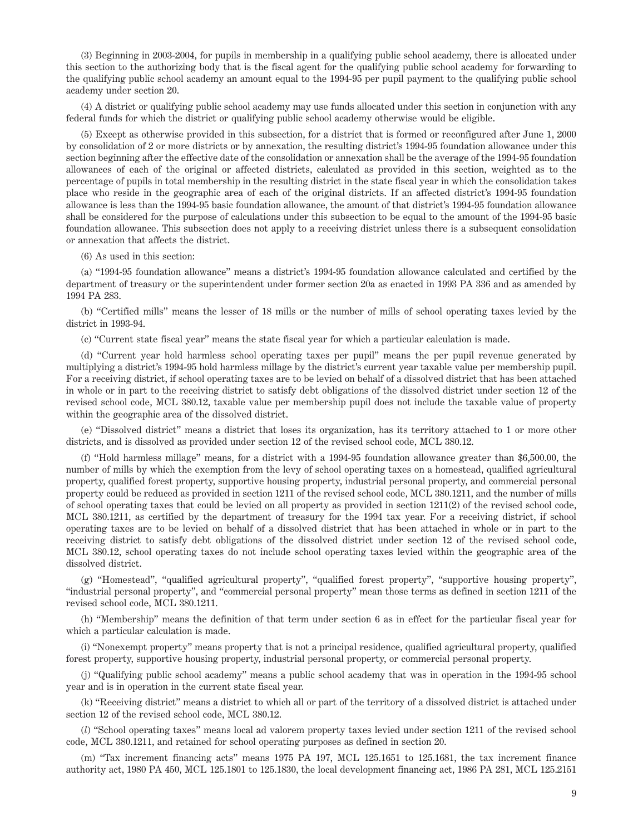(3) Beginning in 2003-2004, for pupils in membership in a qualifying public school academy, there is allocated under this section to the authorizing body that is the fiscal agent for the qualifying public school academy for forwarding to the qualifying public school academy an amount equal to the 1994-95 per pupil payment to the qualifying public school academy under section 20.

(4) A district or qualifying public school academy may use funds allocated under this section in conjunction with any federal funds for which the district or qualifying public school academy otherwise would be eligible.

(5) Except as otherwise provided in this subsection, for a district that is formed or reconfigured after June 1, 2000 by consolidation of 2 or more districts or by annexation, the resulting district's 1994-95 foundation allowance under this section beginning after the effective date of the consolidation or annexation shall be the average of the 1994-95 foundation allowances of each of the original or affected districts, calculated as provided in this section, weighted as to the percentage of pupils in total membership in the resulting district in the state fiscal year in which the consolidation takes place who reside in the geographic area of each of the original districts. If an affected district's 1994-95 foundation allowance is less than the 1994-95 basic foundation allowance, the amount of that district's 1994-95 foundation allowance shall be considered for the purpose of calculations under this subsection to be equal to the amount of the 1994-95 basic foundation allowance. This subsection does not apply to a receiving district unless there is a subsequent consolidation or annexation that affects the district.

(6) As used in this section:

(a) "1994-95 foundation allowance" means a district's 1994-95 foundation allowance calculated and certified by the department of treasury or the superintendent under former section 20a as enacted in 1993 PA 336 and as amended by 1994 PA 283.

(b) "Certified mills" means the lesser of 18 mills or the number of mills of school operating taxes levied by the district in 1993-94.

(c) "Current state fiscal year" means the state fiscal year for which a particular calculation is made.

(d) "Current year hold harmless school operating taxes per pupil" means the per pupil revenue generated by multiplying a district's 1994-95 hold harmless millage by the district's current year taxable value per membership pupil. For a receiving district, if school operating taxes are to be levied on behalf of a dissolved district that has been attached in whole or in part to the receiving district to satisfy debt obligations of the dissolved district under section 12 of the revised school code, MCL 380.12, taxable value per membership pupil does not include the taxable value of property within the geographic area of the dissolved district.

(e) "Dissolved district" means a district that loses its organization, has its territory attached to 1 or more other districts, and is dissolved as provided under section 12 of the revised school code, MCL 380.12.

(f) "Hold harmless millage" means, for a district with a 1994-95 foundation allowance greater than \$6,500.00, the number of mills by which the exemption from the levy of school operating taxes on a homestead, qualified agricultural property, qualified forest property, supportive housing property, industrial personal property, and commercial personal property could be reduced as provided in section 1211 of the revised school code, MCL 380.1211, and the number of mills of school operating taxes that could be levied on all property as provided in section 1211(2) of the revised school code, MCL 380.1211, as certified by the department of treasury for the 1994 tax year. For a receiving district, if school operating taxes are to be levied on behalf of a dissolved district that has been attached in whole or in part to the receiving district to satisfy debt obligations of the dissolved district under section 12 of the revised school code, MCL 380.12, school operating taxes do not include school operating taxes levied within the geographic area of the dissolved district.

(g) "Homestead", "qualified agricultural property", "qualified forest property", "supportive housing property", "industrial personal property", and "commercial personal property" mean those terms as defined in section 1211 of the revised school code, MCL 380.1211.

(h) "Membership" means the definition of that term under section 6 as in effect for the particular fiscal year for which a particular calculation is made.

(i) "Nonexempt property" means property that is not a principal residence, qualified agricultural property, qualified forest property, supportive housing property, industrial personal property, or commercial personal property.

(j) "Qualifying public school academy" means a public school academy that was in operation in the 1994-95 school year and is in operation in the current state fiscal year.

(k) "Receiving district" means a district to which all or part of the territory of a dissolved district is attached under section 12 of the revised school code, MCL 380.12.

(*l*) "School operating taxes" means local ad valorem property taxes levied under section 1211 of the revised school code, MCL 380.1211, and retained for school operating purposes as defined in section 20.

(m) "Tax increment financing acts" means 1975 PA 197, MCL 125.1651 to 125.1681, the tax increment finance authority act, 1980 PA 450, MCL 125.1801 to 125.1830, the local development financing act, 1986 PA 281, MCL 125.2151